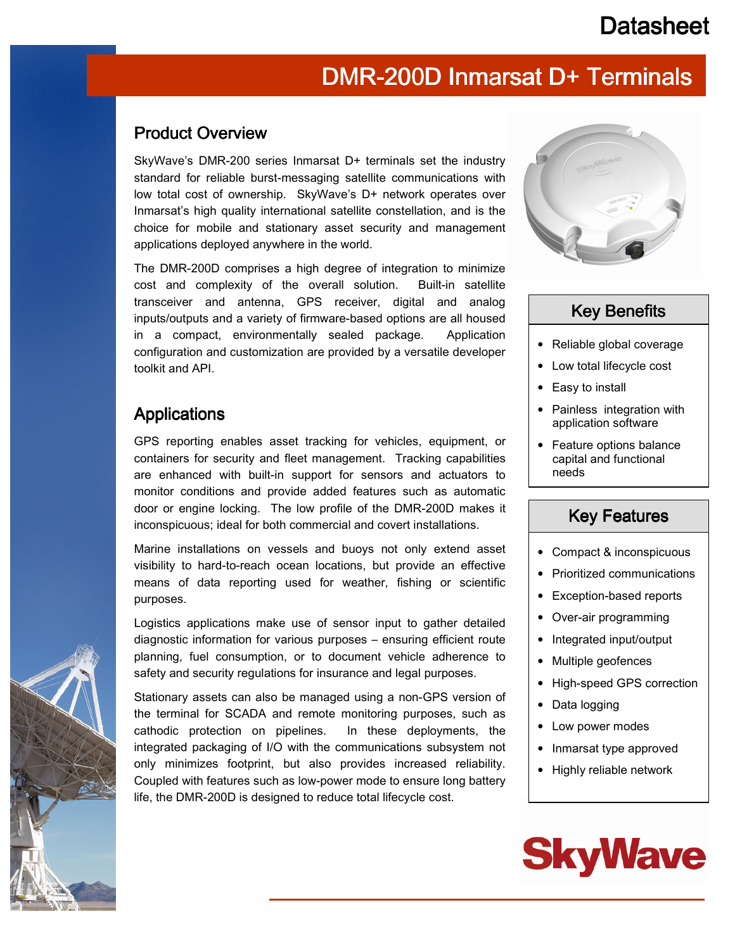### **Datasheet**

## DMR-200D Inmarsat D+ Terminals

#### Product Overview

SkyWave's DMR-200 series Inmarsat D+ terminals set the industry standard for reliable burst-messaging satellite communications with low total cost of ownership. SkyWave's D+ network operates over Inmarsat's high quality international satellite constellation, and is the choice for mobile and stationary asset security and management applications deployed anywhere in the world.

The DMR-200D comprises a high degree of integration to minimize cost and complexity of the overall solution. Built-in satellite transceiver and antenna, GPS receiver, digital and analog inputs/outputs and a variety of firmware-based options are all housed in a compact, environmentally sealed package. Application configuration and customization are provided by a versatile developer toolkit and API.

### **Applications**

GPS reporting enables asset tracking for vehicles, equipment, or containers for security and fleet management. Tracking capabilities are enhanced with built-in support for sensors and actuators to monitor conditions and provide added features such as automatic door or engine locking. The low profile of the DMR-200D makes it inconspicuous; ideal for both commercial and covert installations.

Marine installations on vessels and buoys not only extend asset visibility to hard-to-reach ocean locations, but provide an effective means of data reporting used for weather, fishing or scientific purposes.

Logistics applications make use of sensor input to gather detailed diagnostic information for various purposes – ensuring efficient route planning, fuel consumption, or to document vehicle adherence to safety and security regulations for insurance and legal purposes.

Stationary assets can also be managed using a non-GPS version of the terminal for SCADA and remote monitoring purposes, such as cathodic protection on pipelines. In these deployments, the integrated packaging of I/O with the communications subsystem not only minimizes footprint, but also provides increased reliability. Coupled with features such as low-power mode to ensure long battery life, the DMR-200D is designed to reduce total lifecycle cost.



### **Key Benefits**

- Reliable global coverage
- Low total lifecycle cost
- Easy to install
- Painless integration with application software
- Feature options balance capital and functional needs

#### **Key Features**

- Compact & inconspicuous
- Prioritized communications
- Exception-based reports
- Over-air programming
- Integrated input/output
- Multiple geofences
- High-speed GPS correction
- Data logging
- Low power modes
- Inmarsat type approved
- Highly reliable network